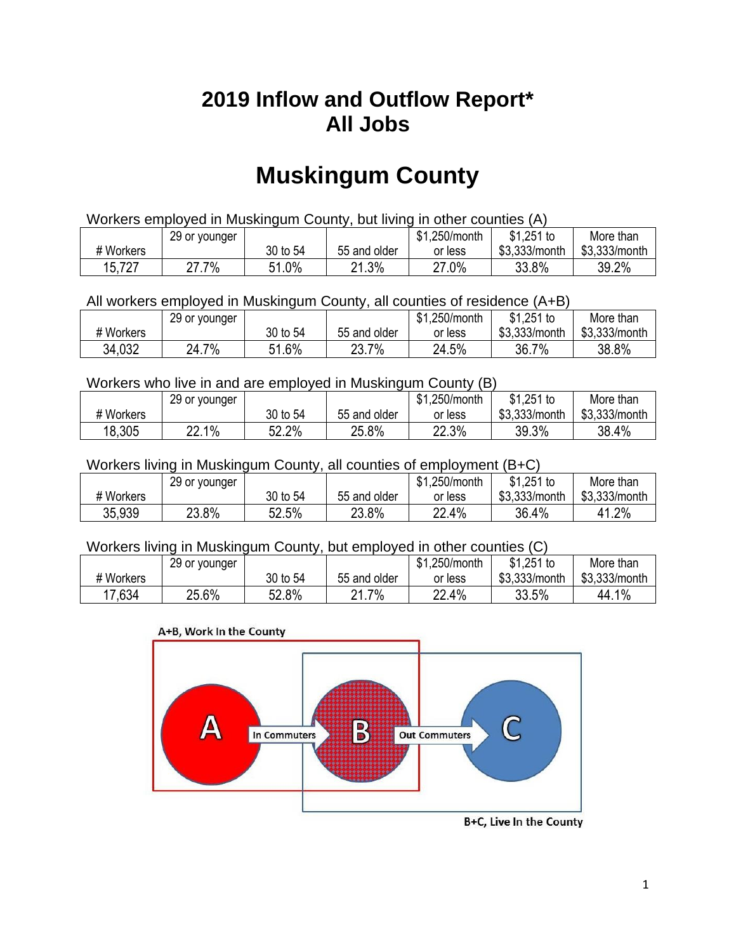## **2019 Inflow and Outflow Report\* All Jobs**

# **Muskingum County**

| Workers employed in Muskingum County, but living in other counties (A) |       |          |              |         |               |               |  |  |  |
|------------------------------------------------------------------------|-------|----------|--------------|---------|---------------|---------------|--|--|--|
| $$1,251$ to<br>\$1.250/month<br>More than<br>29 or younger             |       |          |              |         |               |               |  |  |  |
| # Workers                                                              |       | 30 to 54 | 55 and older | or less | \$3.333/month | \$3,333/month |  |  |  |
| 15,727                                                                 | 27.7% | 51.0%    | 21.3%        | 27.0%   | 33.8%         | 39.2%         |  |  |  |

#### All workers employed in Muskingum County, all counties of residence (A+B)

|           | 29 or younger |          |              | \$1,250/month | \$1,251 to    | More than     |
|-----------|---------------|----------|--------------|---------------|---------------|---------------|
| # Workers |               | 30 to 54 | 55 and older | or less       | \$3,333/month | \$3,333/month |
| 34,032    | 24.7%         | 51.6%    | 23.7%        | 24.5%         | 36.7%         | 38.8%         |

#### Workers who live in and are employed in Muskingum County (B)

|           | 29 or younger |          |              | \$1,250/month | $$1,251$ to   | More than     |
|-----------|---------------|----------|--------------|---------------|---------------|---------------|
| # Workers |               | 30 to 54 | 55 and older | or less       | \$3,333/month | \$3,333/month |
| 18,305    | 22.1%         | 22.2%    | 25.8%        | 22.3%         | 39.3%         | 38.4%         |

### Workers living in Muskingum County, all counties of employment (B+C)

|           | 29 or younger |          |              | \$1,250/month | \$1,251 to    | More than     |
|-----------|---------------|----------|--------------|---------------|---------------|---------------|
| # Workers |               | 30 to 54 | 55 and older | or less       | \$3,333/month | \$3,333/month |
| 35,939    | 23.8%         | 52.5%    | 23.8%        | 22.4%         | 36.4%         | 41.2%         |

#### Workers living in Muskingum County, but employed in other counties (C)

|           | 29 or younger |          |              | \$1,250/month | $$1,251$ to   | More than     |
|-----------|---------------|----------|--------------|---------------|---------------|---------------|
| # Workers |               | 30 to 54 | 55 and older | or less       | \$3,333/month | \$3,333/month |
| 7,634     | 25.6%         | 52.8%    | 7%<br>ດ 4    | 22.4%         | 33.5%         | 44.1%         |

#### A+B, Work In the County